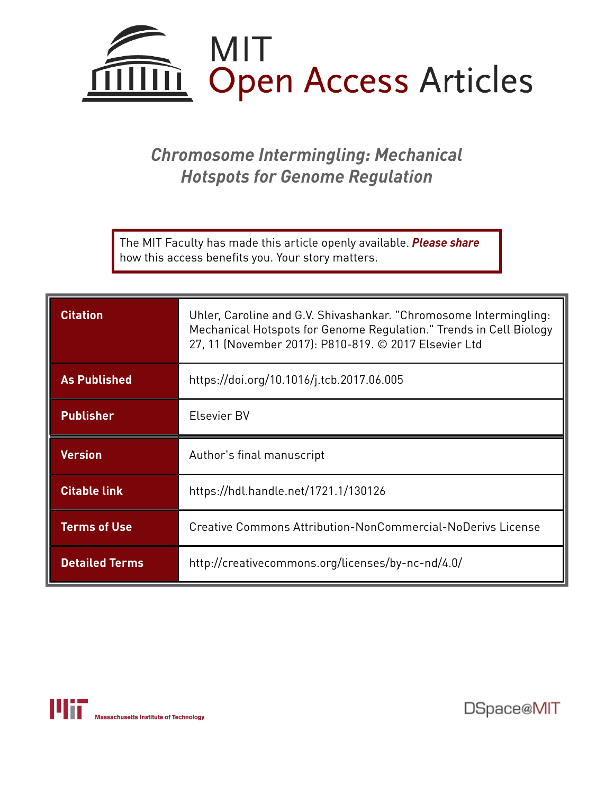

# *Chromosome Intermingling: Mechanical Hotspots for Genome Regulation*

The MIT Faculty has made this article openly available. *[Please](https://libraries.mit.edu/forms/dspace-oa-articles.html) share* how this access benefits you. Your story matters.

| <b>Citation</b>       | Uhler, Caroline and G.V. Shivashankar. "Chromosome Intermingling:<br>Mechanical Hotspots for Genome Regulation." Trends in Cell Biology<br>27, 11 (November 2017): P810-819. © 2017 Elsevier Ltd |
|-----------------------|--------------------------------------------------------------------------------------------------------------------------------------------------------------------------------------------------|
| <b>As Published</b>   | https://doi.org/10.1016/j.tcb.2017.06.005                                                                                                                                                        |
| <b>Publisher</b>      | Elsevier BV                                                                                                                                                                                      |
| <b>Version</b>        | Author's final manuscript                                                                                                                                                                        |
| <b>Citable link</b>   | https://hdl.handle.net/1721.1/130126                                                                                                                                                             |
| <b>Terms of Use</b>   | Creative Commons Attribution-NonCommercial-NoDerivs License                                                                                                                                      |
| <b>Detailed Terms</b> | http://creativecommons.org/licenses/by-nc-nd/4.0/                                                                                                                                                |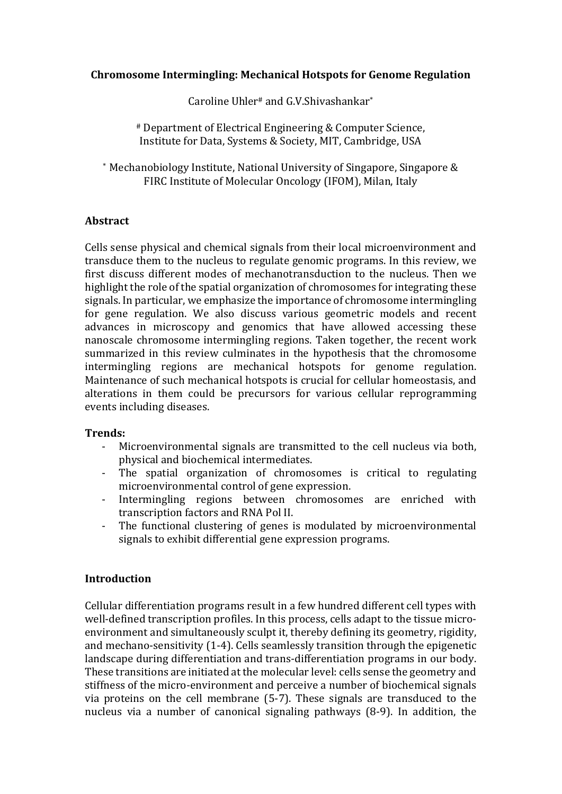## **Chromosome Intermingling: Mechanical Hotspots for Genome Regulation**

Caroline Uhler# and G.V.Shivashankar\*

# Department of Electrical Engineering & Computer Science, Institute for Data, Systems & Society, MIT, Cambridge, USA

\* Mechanobiology Institute, National University of Singapore, Singapore & FIRC Institute of Molecular Oncology (IFOM), Milan, Italy

#### **Abstract**

Cells sense physical and chemical signals from their local microenvironment and transduce them to the nucleus to regulate genomic programs. In this review, we first discuss different modes of mechanotransduction to the nucleus. Then we highlight the role of the spatial organization of chromosomes for integrating these signals. In particular, we emphasize the importance of chromosome intermingling for gene regulation. We also discuss various geometric models and recent advances in microscopy and genomics that have allowed accessing these nanoscale chromosome intermingling regions. Taken together, the recent work summarized in this review culminates in the hypothesis that the chromosome intermingling regions are mechanical hotspots for genome regulation. Maintenance of such mechanical hotspots is crucial for cellular homeostasis, and alterations in them could be precursors for various cellular reprogramming events including diseases.

## **Trends:**

- Microenvironmental signals are transmitted to the cell nucleus via both, physical and biochemical intermediates.
- The spatial organization of chromosomes is critical to regulating microenvironmental control of gene expression.
- Intermingling regions between chromosomes are enriched with transcription factors and RNA Pol II.
- The functional clustering of genes is modulated by microenvironmental signals to exhibit differential gene expression programs.

## **Introduction**

Cellular differentiation programs result in a few hundred different cell types with well-defined transcription profiles. In this process, cells adapt to the tissue microenvironment and simultaneously sculpt it, thereby defining its geometry, rigidity, and mechano-sensitivity (1-4). Cells seamlessly transition through the epigenetic landscape during differentiation and trans-differentiation programs in our body. These transitions are initiated at the molecular level: cells sense the geometry and stiffness of the micro-environment and perceive a number of biochemical signals via proteins on the cell membrane (5-7). These signals are transduced to the nucleus via a number of canonical signaling pathways (8-9). In addition, the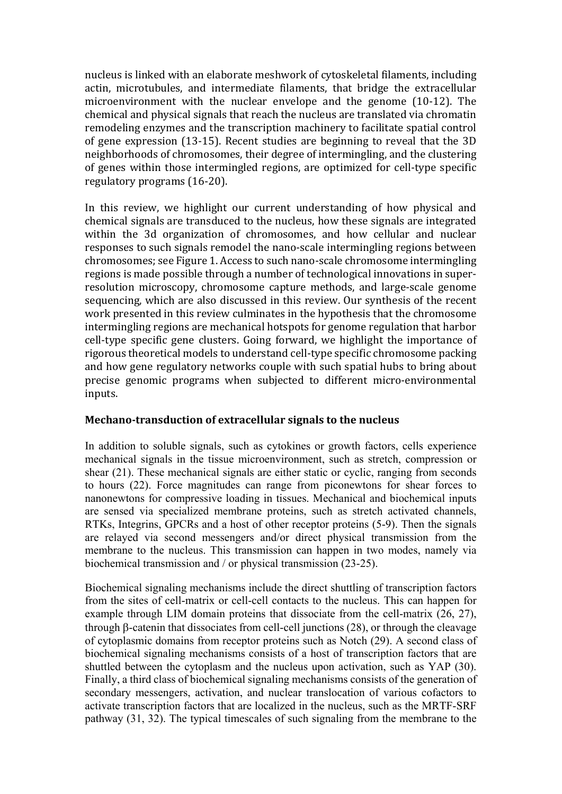nucleus is linked with an elaborate meshwork of cytoskeletal filaments, including actin, microtubules, and intermediate filaments, that bridge the extracellular microenvironment with the nuclear envelope and the genome (10-12). The chemical and physical signals that reach the nucleus are translated via chromatin remodeling enzymes and the transcription machinery to facilitate spatial control of gene expression (13-15). Recent studies are beginning to reveal that the 3D neighborhoods of chromosomes, their degree of intermingling, and the clustering of genes within those intermingled regions, are optimized for cell-type specific regulatory programs (16-20).

In this review, we highlight our current understanding of how physical and chemical signals are transduced to the nucleus, how these signals are integrated within the 3d organization of chromosomes, and how cellular and nuclear responses to such signals remodel the nano-scale intermingling regions between chromosomes; see Figure 1. Access to such nano-scale chromosome intermingling regions is made possible through a number of technological innovations in superresolution microscopy, chromosome capture methods, and large-scale genome sequencing, which are also discussed in this review. Our synthesis of the recent work presented in this review culminates in the hypothesis that the chromosome intermingling regions are mechanical hotspots for genome regulation that harbor cell-type specific gene clusters. Going forward, we highlight the importance of rigorous theoretical models to understand cell-type specific chromosome packing and how gene regulatory networks couple with such spatial hubs to bring about precise genomic programs when subjected to different micro-environmental inputs.

## **Mechano-transduction of extracellular signals to the nucleus**

In addition to soluble signals, such as cytokines or growth factors, cells experience mechanical signals in the tissue microenvironment, such as stretch, compression or shear (21). These mechanical signals are either static or cyclic, ranging from seconds to hours (22). Force magnitudes can range from piconewtons for shear forces to nanonewtons for compressive loading in tissues. Mechanical and biochemical inputs are sensed via specialized membrane proteins, such as stretch activated channels, RTKs, Integrins, GPCRs and a host of other receptor proteins (5-9). Then the signals are relayed via second messengers and/or direct physical transmission from the membrane to the nucleus. This transmission can happen in two modes, namely via biochemical transmission and / or physical transmission (23-25).

Biochemical signaling mechanisms include the direct shuttling of transcription factors from the sites of cell-matrix or cell-cell contacts to the nucleus. This can happen for example through LIM domain proteins that dissociate from the cell-matrix (26, 27), through β-catenin that dissociates from cell-cell junctions (28), or through the cleavage of cytoplasmic domains from receptor proteins such as Notch (29). A second class of biochemical signaling mechanisms consists of a host of transcription factors that are shuttled between the cytoplasm and the nucleus upon activation, such as YAP (30). Finally, a third class of biochemical signaling mechanisms consists of the generation of secondary messengers, activation, and nuclear translocation of various cofactors to activate transcription factors that are localized in the nucleus, such as the MRTF-SRF pathway (31, 32). The typical timescales of such signaling from the membrane to the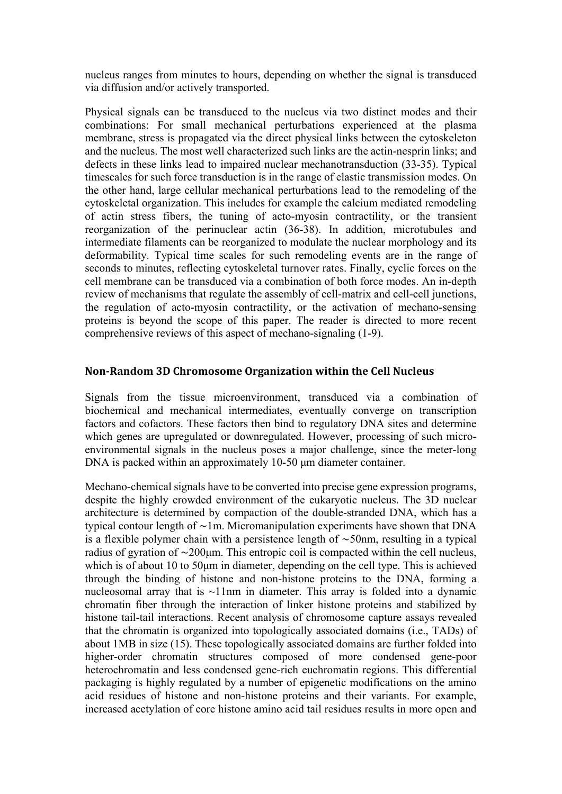nucleus ranges from minutes to hours, depending on whether the signal is transduced via diffusion and/or actively transported.

Physical signals can be transduced to the nucleus via two distinct modes and their combinations: For small mechanical perturbations experienced at the plasma membrane, stress is propagated via the direct physical links between the cytoskeleton and the nucleus. The most well characterized such links are the actin-nesprin links; and defects in these links lead to impaired nuclear mechanotransduction (33-35). Typical timescales for such force transduction is in the range of elastic transmission modes. On the other hand, large cellular mechanical perturbations lead to the remodeling of the cytoskeletal organization. This includes for example the calcium mediated remodeling of actin stress fibers, the tuning of acto-myosin contractility, or the transient reorganization of the perinuclear actin (36-38). In addition, microtubules and intermediate filaments can be reorganized to modulate the nuclear morphology and its deformability. Typical time scales for such remodeling events are in the range of seconds to minutes, reflecting cytoskeletal turnover rates. Finally, cyclic forces on the cell membrane can be transduced via a combination of both force modes. An in-depth review of mechanisms that regulate the assembly of cell-matrix and cell-cell junctions, the regulation of acto-myosin contractility, or the activation of mechano-sensing proteins is beyond the scope of this paper. The reader is directed to more recent comprehensive reviews of this aspect of mechano-signaling (1-9).

#### **Non-Random 3D Chromosome Organization within the Cell Nucleus**

Signals from the tissue microenvironment, transduced via a combination of biochemical and mechanical intermediates, eventually converge on transcription factors and cofactors. These factors then bind to regulatory DNA sites and determine which genes are upregulated or downregulated. However, processing of such microenvironmental signals in the nucleus poses a major challenge, since the meter-long DNA is packed within an approximately 10-50 μm diameter container.

Mechano-chemical signals have to be converted into precise gene expression programs, despite the highly crowded environment of the eukaryotic nucleus. The 3D nuclear architecture is determined by compaction of the double-stranded DNA, which has a typical contour length of ∼1m. Micromanipulation experiments have shown that DNA is a flexible polymer chain with a persistence length of ∼50nm, resulting in a typical radius of gyration of ∼200μm. This entropic coil is compacted within the cell nucleus, which is of about 10 to 50 km in diameter, depending on the cell type. This is achieved through the binding of histone and non-histone proteins to the DNA, forming a nucleosomal array that is  $\sim$ 11nm in diameter. This array is folded into a dynamic chromatin fiber through the interaction of linker histone proteins and stabilized by histone tail-tail interactions. Recent analysis of chromosome capture assays revealed that the chromatin is organized into topologically associated domains (i.e., TADs) of about 1MB in size (15). These topologically associated domains are further folded into higher-order chromatin structures composed of more condensed gene-poor heterochromatin and less condensed gene-rich euchromatin regions. This differential packaging is highly regulated by a number of epigenetic modifications on the amino acid residues of histone and non-histone proteins and their variants. For example, increased acetylation of core histone amino acid tail residues results in more open and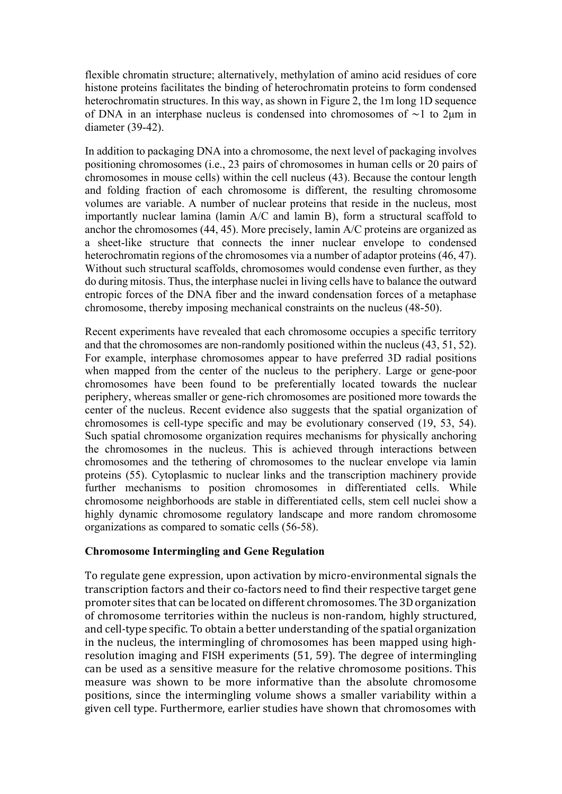flexible chromatin structure; alternatively, methylation of amino acid residues of core histone proteins facilitates the binding of heterochromatin proteins to form condensed heterochromatin structures. In this way, as shown in Figure 2, the 1m long 1D sequence of DNA in an interphase nucleus is condensed into chromosomes of ∼1 to 2μm in diameter (39-42).

In addition to packaging DNA into a chromosome, the next level of packaging involves positioning chromosomes (i.e., 23 pairs of chromosomes in human cells or 20 pairs of chromosomes in mouse cells) within the cell nucleus (43). Because the contour length and folding fraction of each chromosome is different, the resulting chromosome volumes are variable. A number of nuclear proteins that reside in the nucleus, most importantly nuclear lamina (lamin A/C and lamin B), form a structural scaffold to anchor the chromosomes (44, 45). More precisely, lamin A/C proteins are organized as a sheet-like structure that connects the inner nuclear envelope to condensed heterochromatin regions of the chromosomes via a number of adaptor proteins (46, 47). Without such structural scaffolds, chromosomes would condense even further, as they do during mitosis. Thus, the interphase nuclei in living cells have to balance the outward entropic forces of the DNA fiber and the inward condensation forces of a metaphase chromosome, thereby imposing mechanical constraints on the nucleus (48-50).

Recent experiments have revealed that each chromosome occupies a specific territory and that the chromosomes are non-randomly positioned within the nucleus (43, 51, 52). For example, interphase chromosomes appear to have preferred 3D radial positions when mapped from the center of the nucleus to the periphery. Large or gene-poor chromosomes have been found to be preferentially located towards the nuclear periphery, whereas smaller or gene-rich chromosomes are positioned more towards the center of the nucleus. Recent evidence also suggests that the spatial organization of chromosomes is cell-type specific and may be evolutionary conserved (19, 53, 54). Such spatial chromosome organization requires mechanisms for physically anchoring the chromosomes in the nucleus. This is achieved through interactions between chromosomes and the tethering of chromosomes to the nuclear envelope via lamin proteins (55). Cytoplasmic to nuclear links and the transcription machinery provide further mechanisms to position chromosomes in differentiated cells. While chromosome neighborhoods are stable in differentiated cells, stem cell nuclei show a highly dynamic chromosome regulatory landscape and more random chromosome organizations as compared to somatic cells (56-58).

## **Chromosome Intermingling and Gene Regulation**

To regulate gene expression, upon activation by micro-environmental signals the transcription factors and their co-factors need to find their respective target gene promoter sites that can be located on different chromosomes. The 3D organization of chromosome territories within the nucleus is non-random, highly structured, and cell-type specific. To obtain a better understanding of the spatial organization in the nucleus, the intermingling of chromosomes has been mapped using highresolution imaging and FISH experiments (51, 59). The degree of intermingling can be used as a sensitive measure for the relative chromosome positions. This measure was shown to be more informative than the absolute chromosome positions, since the intermingling volume shows a smaller variability within a given cell type. Furthermore, earlier studies have shown that chromosomes with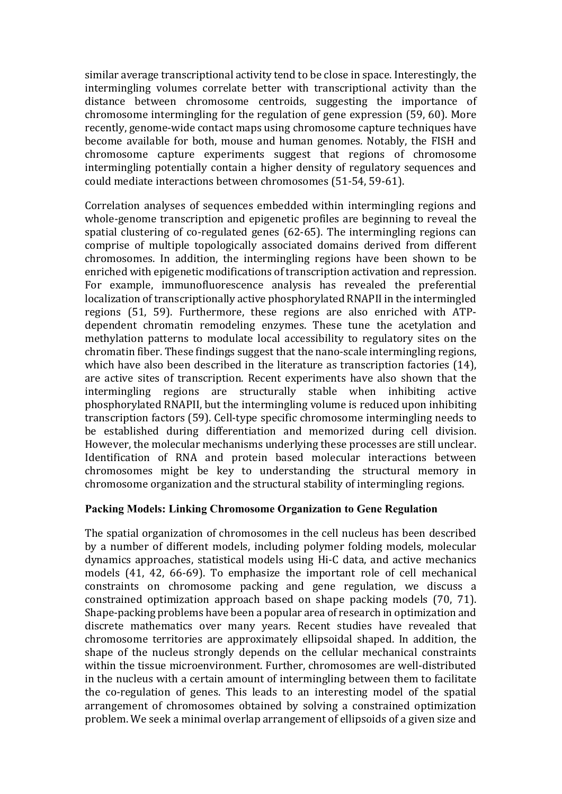similar average transcriptional activity tend to be close in space. Interestingly, the intermingling volumes correlate better with transcriptional activity than the distance between chromosome centroids, suggesting the importance of chromosome intermingling for the regulation of gene expression (59, 60). More recently, genome-wide contact maps using chromosome capture techniques have become available for both, mouse and human genomes. Notably, the FISH and chromosome capture experiments suggest that regions of chromosome intermingling potentially contain a higher density of regulatory sequences and could mediate interactions between chromosomes (51-54, 59-61).

Correlation analyses of sequences embedded within intermingling regions and whole-genome transcription and epigenetic profiles are beginning to reveal the spatial clustering of co-regulated genes (62-65). The intermingling regions can comprise of multiple topologically associated domains derived from different chromosomes. In addition, the intermingling regions have been shown to be enriched with epigenetic modifications of transcription activation and repression. For example, immunofluorescence analysis has revealed the preferential localization of transcriptionally active phosphorylated RNAPII in the intermingled regions (51, 59). Furthermore, these regions are also enriched with ATPdependent chromatin remodeling enzymes. These tune the acetylation and methylation patterns to modulate local accessibility to regulatory sites on the chromatin fiber. These findings suggest that the nano-scale intermingling regions, which have also been described in the literature as transcription factories (14), are active sites of transcription. Recent experiments have also shown that the intermingling regions are structurally stable when inhibiting active phosphorylated RNAPII, but the intermingling volume is reduced upon inhibiting transcription factors (59). Cell-type specific chromosome intermingling needs to be established during differentiation and memorized during cell division. However, the molecular mechanisms underlying these processes are still unclear. Identification of RNA and protein based molecular interactions between chromosomes might be key to understanding the structural memory in chromosome organization and the structural stability of intermingling regions.

## **Packing Models: Linking Chromosome Organization to Gene Regulation**

The spatial organization of chromosomes in the cell nucleus has been described by a number of different models, including polymer folding models, molecular dynamics approaches, statistical models using Hi-C data, and active mechanics models (41, 42, 66-69). To emphasize the important role of cell mechanical constraints on chromosome packing and gene regulation, we discuss a constrained optimization approach based on shape packing models (70, 71). Shape-packing problems have been a popular area of research in optimization and discrete mathematics over many years. Recent studies have revealed that chromosome territories are approximately ellipsoidal shaped. In addition, the shape of the nucleus strongly depends on the cellular mechanical constraints within the tissue microenvironment. Further, chromosomes are well-distributed in the nucleus with a certain amount of intermingling between them to facilitate the co-regulation of genes. This leads to an interesting model of the spatial arrangement of chromosomes obtained by solving a constrained optimization problem. We seek a minimal overlap arrangement of ellipsoids of a given size and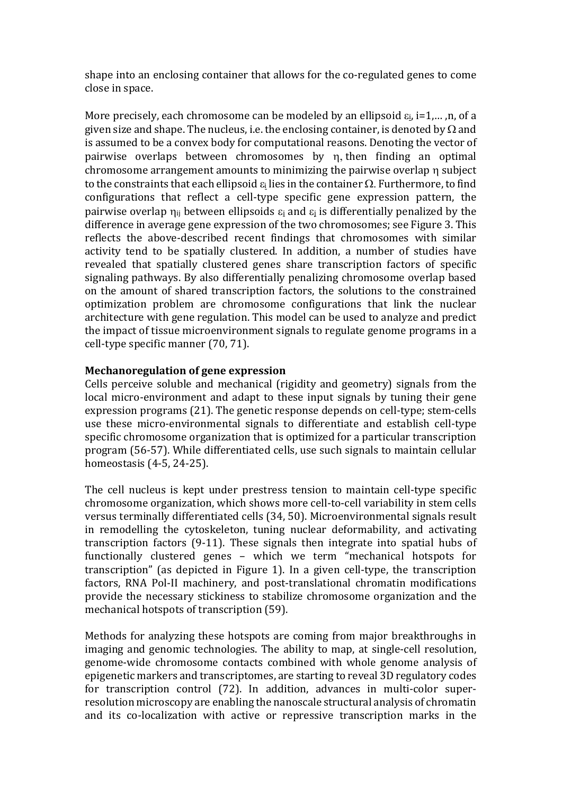shape into an enclosing container that allows for the co-regulated genes to come close in space.

More precisely, each chromosome can be modeled by an ellipsoid  $\varepsilon_i$ , i=1,..., n, of a given size and shape. The nucleus, i.e. the enclosing container, is denoted by  $\Omega$  and is assumed to be a convex body for computational reasons. Denoting the vector of pairwise overlaps between chromosomes by η, then finding an optimal chromosome arrangement amounts to minimizing the pairwise overlap η subject to the constraints that each ellipsoid  $\varepsilon_i$  lies in the container  $\Omega$ . Furthermore, to find configurations that reflect a cell-type specific gene expression pattern, the pairwise overlap  $\eta_{ii}$  between ellipsoids  $\varepsilon_i$  and  $\varepsilon_i$  is differentially penalized by the difference in average gene expression of the two chromosomes; see Figure 3. This reflects the above-described recent findings that chromosomes with similar activity tend to be spatially clustered. In addition, a number of studies have revealed that spatially clustered genes share transcription factors of specific signaling pathways. By also differentially penalizing chromosome overlap based on the amount of shared transcription factors, the solutions to the constrained optimization problem are chromosome configurations that link the nuclear architecture with gene regulation. This model can be used to analyze and predict the impact of tissue microenvironment signals to regulate genome programs in a cell-type specific manner (70, 71).

# **Mechanoregulation of gene expression**

Cells perceive soluble and mechanical (rigidity and geometry) signals from the local micro-environment and adapt to these input signals by tuning their gene expression programs (21). The genetic response depends on cell-type; stem-cells use these micro-environmental signals to differentiate and establish cell-type specific chromosome organization that is optimized for a particular transcription program (56-57). While differentiated cells, use such signals to maintain cellular homeostasis (4-5, 24-25).

The cell nucleus is kept under prestress tension to maintain cell-type specific chromosome organization, which shows more cell-to-cell variability in stem cells versus terminally differentiated cells (34, 50). Microenvironmental signals result in remodelling the cytoskeleton, tuning nuclear deformability, and activating transcription factors (9-11). These signals then integrate into spatial hubs of functionally clustered genes – which we term "mechanical hotspots for transcription" (as depicted in Figure 1). In a given cell-type, the transcription factors, RNA Pol-II machinery, and post-translational chromatin modifications provide the necessary stickiness to stabilize chromosome organization and the mechanical hotspots of transcription (59).

Methods for analyzing these hotspots are coming from major breakthroughs in imaging and genomic technologies. The ability to map, at single-cell resolution, genome-wide chromosome contacts combined with whole genome analysis of epigenetic markers and transcriptomes, are starting to reveal 3D regulatory codes for transcription control (72). In addition, advances in multi-color superresolution microscopy are enabling the nanoscale structural analysis of chromatin and its co-localization with active or repressive transcription marks in the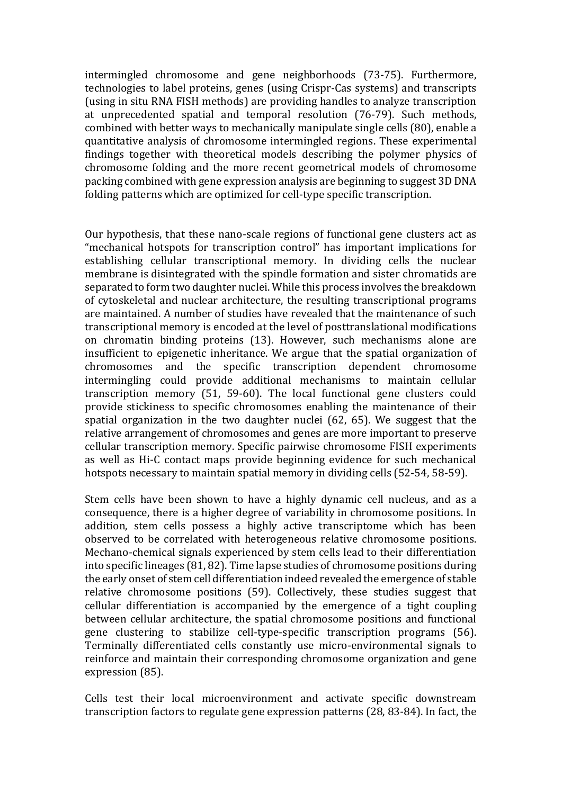intermingled chromosome and gene neighborhoods (73-75). Furthermore, technologies to label proteins, genes (using Crispr-Cas systems) and transcripts (using in situ RNA FISH methods) are providing handles to analyze transcription at unprecedented spatial and temporal resolution (76-79). Such methods, combined with better ways to mechanically manipulate single cells (80), enable a quantitative analysis of chromosome intermingled regions. These experimental findings together with theoretical models describing the polymer physics of chromosome folding and the more recent geometrical models of chromosome packing combined with gene expression analysis are beginning to suggest 3D DNA folding patterns which are optimized for cell-type specific transcription.

Our hypothesis, that these nano-scale regions of functional gene clusters act as "mechanical hotspots for transcription control" has important implications for establishing cellular transcriptional memory. In dividing cells the nuclear membrane is disintegrated with the spindle formation and sister chromatids are separated to form two daughter nuclei. While this process involves the breakdown of cytoskeletal and nuclear architecture, the resulting transcriptional programs are maintained. A number of studies have revealed that the maintenance of such transcriptional memory is encoded at the level of posttranslational modifications on chromatin binding proteins (13). However, such mechanisms alone are insufficient to epigenetic inheritance. We argue that the spatial organization of chromosomes and the specific transcription dependent chromosome intermingling could provide additional mechanisms to maintain cellular transcription memory (51, 59-60). The local functional gene clusters could provide stickiness to specific chromosomes enabling the maintenance of their spatial organization in the two daughter nuclei (62, 65). We suggest that the relative arrangement of chromosomes and genes are more important to preserve cellular transcription memory. Specific pairwise chromosome FISH experiments as well as Hi-C contact maps provide beginning evidence for such mechanical hotspots necessary to maintain spatial memory in dividing cells (52-54, 58-59).

Stem cells have been shown to have a highly dynamic cell nucleus, and as a consequence, there is a higher degree of variability in chromosome positions. In addition, stem cells possess a highly active transcriptome which has been observed to be correlated with heterogeneous relative chromosome positions. Mechano-chemical signals experienced by stem cells lead to their differentiation into specific lineages (81, 82). Time lapse studies of chromosome positions during the early onset of stem cell differentiation indeed revealed the emergence of stable relative chromosome positions (59). Collectively, these studies suggest that cellular differentiation is accompanied by the emergence of a tight coupling between cellular architecture, the spatial chromosome positions and functional gene clustering to stabilize cell-type-specific transcription programs (56). Terminally differentiated cells constantly use micro-environmental signals to reinforce and maintain their corresponding chromosome organization and gene expression (85).

Cells test their local microenvironment and activate specific downstream transcription factors to regulate gene expression patterns (28, 83-84). In fact, the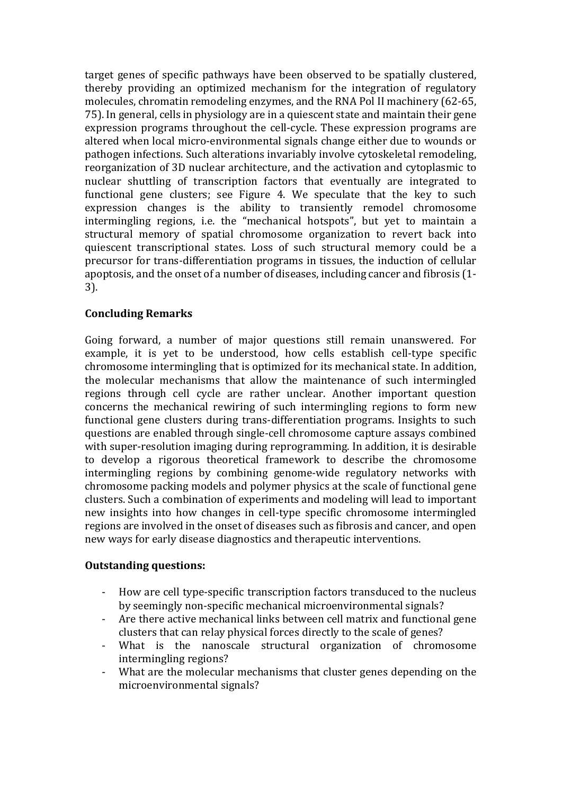target genes of specific pathways have been observed to be spatially clustered, thereby providing an optimized mechanism for the integration of regulatory molecules, chromatin remodeling enzymes, and the RNA Pol II machinery (62-65, 75). In general, cells in physiology are in a quiescent state and maintain their gene expression programs throughout the cell-cycle. These expression programs are altered when local micro-environmental signals change either due to wounds or pathogen infections. Such alterations invariably involve cytoskeletal remodeling, reorganization of 3D nuclear architecture, and the activation and cytoplasmic to nuclear shuttling of transcription factors that eventually are integrated to functional gene clusters; see Figure 4. We speculate that the key to such expression changes is the ability to transiently remodel chromosome intermingling regions, i.e. the "mechanical hotspots", but yet to maintain a structural memory of spatial chromosome organization to revert back into quiescent transcriptional states. Loss of such structural memory could be a precursor for trans-differentiation programs in tissues, the induction of cellular apoptosis, and the onset of a number of diseases, including cancer and fibrosis (1- 3).

# **Concluding Remarks**

Going forward, a number of major questions still remain unanswered. For example, it is yet to be understood, how cells establish cell-type specific chromosome intermingling that is optimized for its mechanical state. In addition, the molecular mechanisms that allow the maintenance of such intermingled regions through cell cycle are rather unclear. Another important question concerns the mechanical rewiring of such intermingling regions to form new functional gene clusters during trans-differentiation programs. Insights to such questions are enabled through single-cell chromosome capture assays combined with super-resolution imaging during reprogramming. In addition, it is desirable to develop a rigorous theoretical framework to describe the chromosome intermingling regions by combining genome-wide regulatory networks with chromosome packing models and polymer physics at the scale of functional gene clusters. Such a combination of experiments and modeling will lead to important new insights into how changes in cell-type specific chromosome intermingled regions are involved in the onset of diseases such as fibrosis and cancer, and open new ways for early disease diagnostics and therapeutic interventions.

## **Outstanding questions:**

- How are cell type-specific transcription factors transduced to the nucleus by seemingly non-specific mechanical microenvironmental signals?
- Are there active mechanical links between cell matrix and functional gene clusters that can relay physical forces directly to the scale of genes?
- What is the nanoscale structural organization of chromosome intermingling regions?
- What are the molecular mechanisms that cluster genes depending on the microenvironmental signals?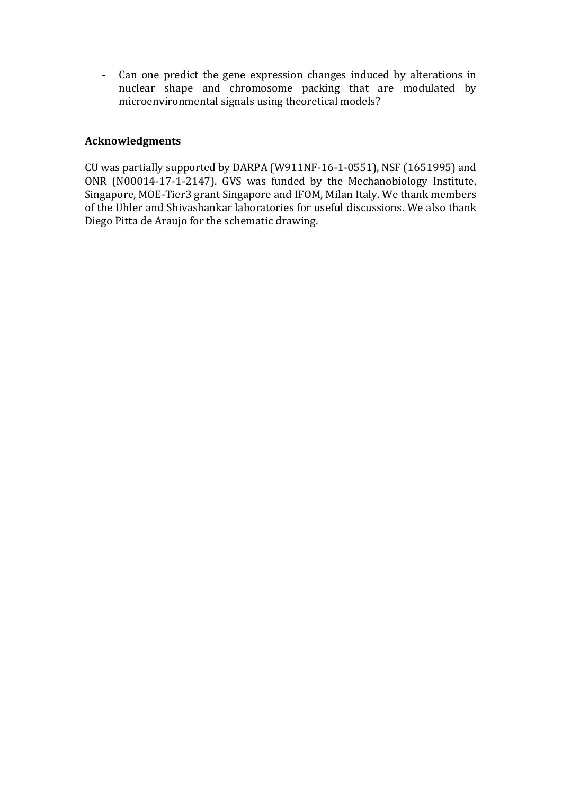- Can one predict the gene expression changes induced by alterations in nuclear shape and chromosome packing that are modulated by microenvironmental signals using theoretical models?

#### **Acknowledgments**

CU was partially supported by DARPA (W911NF-16-1-0551), NSF (1651995) and ONR (N00014-17-1-2147). GVS was funded by the Mechanobiology Institute, Singapore, MOE-Tier3 grant Singapore and IFOM, Milan Italy. We thank members of the Uhler and Shivashankar laboratories for useful discussions. We also thank Diego Pitta de Araujo for the schematic drawing.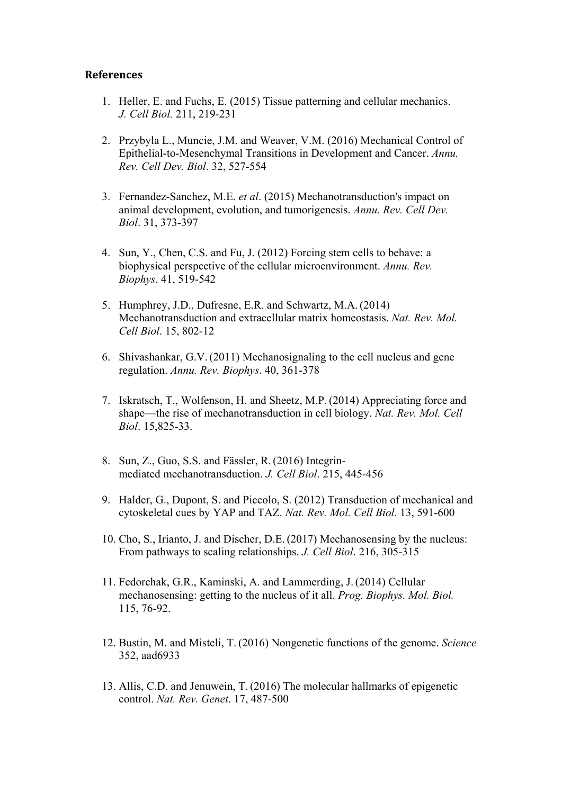#### **References**

- 1. Heller, E. and Fuchs, E. (2015) Tissue patterning and cellular mechanics. *J. Cell Biol.* 211, 219-231
- 2. Przybyla L., Muncie, J.M. and Weaver, V.M. (2016) Mechanical Control of Epithelial-to-Mesenchymal Transitions in Development and Cancer. *Annu. Rev. Cell Dev. Biol*. 32, 527-554
- 3. Fernandez-Sanchez, M.E. *et al*. (2015) Mechanotransduction's impact on animal development, evolution, and tumorigenesis. *Annu. Rev. Cell Dev. Biol*. 31, 373-397
- 4. Sun, Y., Chen, C.S. and Fu, J. (2012) Forcing stem cells to behave: a biophysical perspective of the cellular microenvironment. *Annu. Rev. Biophys*. 41, 519-542
- 5. Humphrey, J.D., Dufresne, E.R. and Schwartz, M.A.(2014) Mechanotransduction and extracellular matrix homeostasis. *Nat. Rev. Mol. Cell Biol*. 15, 802-12
- 6. Shivashankar, G.V.(2011) Mechanosignaling to the cell nucleus and gene regulation. *Annu. Rev. Biophys*. 40, 361-378
- 7. Iskratsch, T., Wolfenson, H. and Sheetz, M.P.(2014) Appreciating force and shape—the rise of mechanotransduction in cell biology. *Nat. Rev. Mol. Cell Biol*. 15,825-33.
- 8. Sun, Z., Guo, S.S. and Fässler, R.(2016) Integrinmediated mechanotransduction. *J. Cell Biol*. 215, 445-456
- 9. Halder, G., Dupont, S. and Piccolo, S. (2012) Transduction of mechanical and cytoskeletal cues by YAP and TAZ. *Nat. Rev. Mol. Cell Biol*. 13, 591-600
- 10. Cho, S., Irianto, J. and Discher, D.E.(2017) Mechanosensing by the nucleus: From pathways to scaling relationships. *J. Cell Biol*. 216, 305-315
- 11. Fedorchak, G.R., Kaminski, A. and Lammerding, J.(2014) Cellular mechanosensing: getting to the nucleus of it all. *Prog. Biophys. Mol. Biol.* 115, 76-92.
- 12. Bustin, M. and Misteli, T.(2016) Nongenetic functions of the genome. *Science* 352, aad6933
- 13. Allis, C.D. and Jenuwein, T.(2016) The molecular hallmarks of epigenetic control. *Nat. Rev. Genet*. 17, 487-500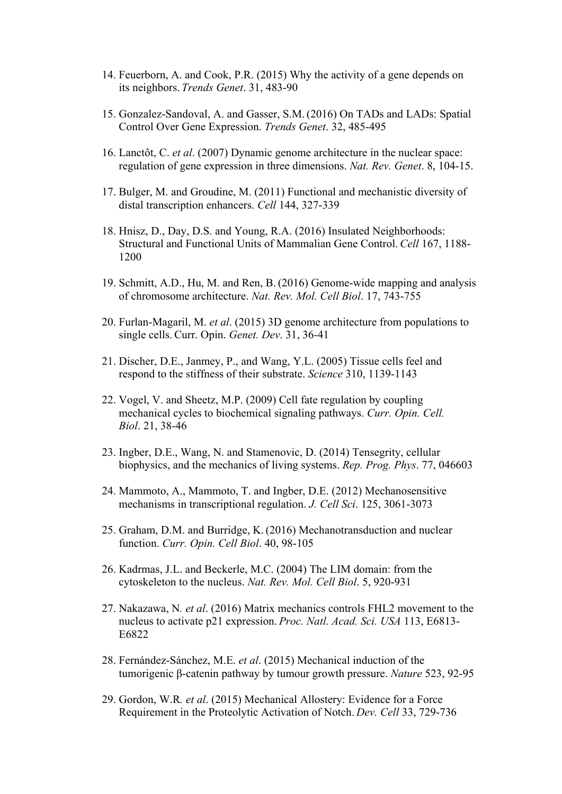- 14. Feuerborn, A. and Cook, P.R. (2015) Why the activity of a gene depends on its neighbors. *Trends Genet*. 31, 483-90
- 15. Gonzalez-Sandoval, A. and Gasser, S.M.(2016) On TADs and LADs: Spatial Control Over Gene Expression. *Trends Genet*. 32, 485-495
- 16. Lanctôt, C. *et al*. (2007) Dynamic genome architecture in the nuclear space: regulation of gene expression in three dimensions. *Nat. Rev. Genet*. 8, 104-15.
- 17. Bulger, M. and Groudine, M. (2011) Functional and mechanistic diversity of distal transcription enhancers. *Cell* 144, 327-339
- 18. Hnisz, D., Day, D.S. and Young, R.A. (2016) Insulated Neighborhoods: Structural and Functional Units of Mammalian Gene Control.*Cell* 167, 1188- 1200
- 19. Schmitt, A.D., Hu, M. and Ren, B.(2016) Genome-wide mapping and analysis of chromosome architecture. *Nat. Rev. Mol. Cell Biol*. 17, 743-755
- 20. Furlan-Magaril, M. *et al*. (2015) 3D genome architecture from populations to single cells.Curr. Opin. *Genet. Dev*. 31, 36-41
- 21. Discher, D.E., Janmey, P., and Wang, Y.L. (2005) Tissue cells feel and respond to the stiffness of their substrate. *Science* 310, 1139-1143
- 22. Vogel, V. and Sheetz, M.P. (2009) Cell fate regulation by coupling mechanical cycles to biochemical signaling pathways. *Curr. Opin. Cell. Biol*. 21, 38-46
- 23. Ingber, D.E., Wang, N. and Stamenovic, D. (2014) Tensegrity, cellular biophysics, and the mechanics of living systems. *Rep. Prog. Phys*. 77, 046603
- 24. Mammoto, A., Mammoto, T. and Ingber, D.E. (2012) Mechanosensitive mechanisms in transcriptional regulation. *J. Cell Sci*. 125, 3061-3073
- 25. Graham, D.M. and Burridge, K.(2016) Mechanotransduction and nuclear function. *Curr. Opin. Cell Biol*. 40, 98-105
- 26. Kadrmas, J.L. and Beckerle, M.C. (2004) The LIM domain: from the cytoskeleton to the nucleus. *Nat. Rev. Mol. Cell Biol*. 5, 920-931
- 27. Nakazawa, N*. et al*. (2016) Matrix mechanics controls FHL2 movement to the nucleus to activate p21 expression. *Proc. Natl. Acad. Sci. USA* 113, E6813- E6822
- 28. Fernández-Sánchez, M.E. *et al*. (2015) Mechanical induction of the tumorigenic β-catenin pathway by tumour growth pressure. *Nature* 523, 92-95
- 29. Gordon, W.R*. et al*. (2015) Mechanical Allostery: Evidence for a Force Requirement in the Proteolytic Activation of Notch. *Dev. Cell* 33, 729-736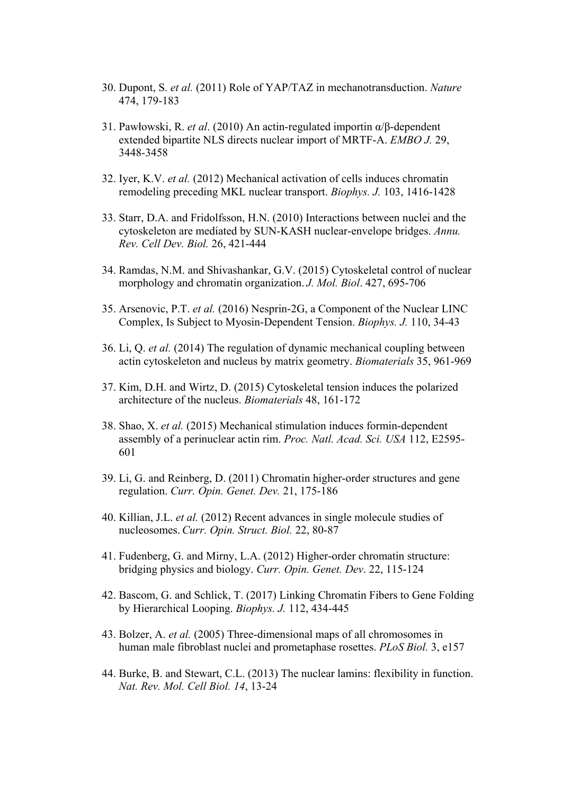- 30. Dupont, S. *et al.* (2011) Role of YAP/TAZ in mechanotransduction. *Nature* 474, 179-183
- 31. Pawłowski, R. *et al*. (2010) An actin-regulated importin α/β-dependent extended bipartite NLS directs nuclear import of MRTF-A. *EMBO J.* 29, 3448-3458
- 32. Iyer, K.V. *et al.* (2012) Mechanical activation of cells induces chromatin remodeling preceding MKL nuclear transport. *Biophys. J.* 103, 1416-1428
- 33. Starr, D.A. and Fridolfsson, H.N. (2010) Interactions between nuclei and the cytoskeleton are mediated by SUN-KASH nuclear-envelope bridges. *Annu. Rev. Cell Dev. Biol.* 26, 421-444
- 34. Ramdas, N.M. and Shivashankar, G.V. (2015) Cytoskeletal control of nuclear morphology and chromatin organization. *J. Mol. Biol*. 427, 695-706
- 35. Arsenovic, P.T. *et al.* (2016) Nesprin-2G, a Component of the Nuclear LINC Complex, Is Subject to Myosin-Dependent Tension. *Biophys. J.* 110, 34-43
- 36. Li, Q. *et al.* (2014) The regulation of dynamic mechanical coupling between actin cytoskeleton and nucleus by matrix geometry. *Biomaterials* 35, 961-969
- 37. Kim, D.H. and Wirtz, D. (2015) Cytoskeletal tension induces the polarized architecture of the nucleus. *Biomaterials* 48, 161-172
- 38. Shao, X. *et al.* (2015) Mechanical stimulation induces formin-dependent assembly of a perinuclear actin rim. *Proc. Natl. Acad. Sci. USA* 112, E2595- 601
- 39. Li, G. and Reinberg, D. (2011) Chromatin higher-order structures and gene regulation. *Curr. Opin. Genet. Dev.* 21, 175-186
- 40. Killian, J.L. *et al.* (2012) Recent advances in single molecule studies of nucleosomes.*Curr. Opin. Struct. Biol.* 22, 80-87
- 41. Fudenberg, G. and Mirny, L.A. (2012) Higher-order chromatin structure: bridging physics and biology. *Curr. Opin. Genet. Dev*. 22, 115-124
- 42. Bascom, G. and Schlick, T. (2017) Linking Chromatin Fibers to Gene Folding by Hierarchical Looping. *Biophys. J.* 112, 434-445
- 43. Bolzer, A. *et al.* (2005) Three-dimensional maps of all chromosomes in human male fibroblast nuclei and prometaphase rosettes. *PLoS Biol.* 3, e157
- 44. Burke, B. and Stewart, C.L. (2013) The nuclear lamins: flexibility in function. *Nat. Rev. Mol. Cell Biol. 14*, 13-24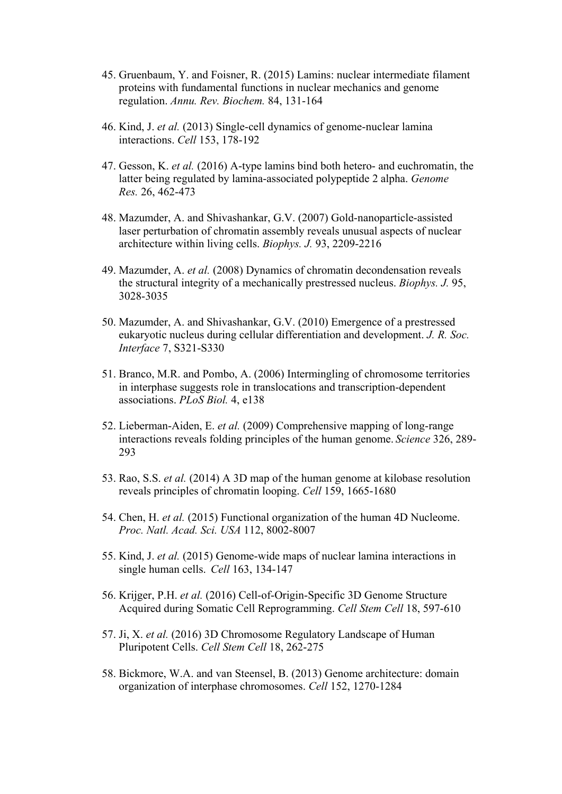- 45. Gruenbaum, Y. and Foisner, R. (2015) Lamins: nuclear intermediate filament proteins with fundamental functions in nuclear mechanics and genome regulation. *Annu. Rev. Biochem.* 84, 131-164
- 46. Kind, J. *et al.* (2013) Single-cell dynamics of genome-nuclear lamina interactions. *Cell* 153, 178-192
- 47. Gesson, K. *et al.* (2016) A-type lamins bind both hetero- and euchromatin, the latter being regulated by lamina-associated polypeptide 2 alpha. *Genome Res.* 26, 462-473
- 48. Mazumder, A. and Shivashankar, G.V. (2007) Gold-nanoparticle-assisted laser perturbation of chromatin assembly reveals unusual aspects of nuclear architecture within living cells. *Biophys. J.* 93, 2209-2216
- 49. Mazumder, A. *et al.* (2008) Dynamics of chromatin decondensation reveals the structural integrity of a mechanically prestressed nucleus. *Biophys. J.* 95, 3028-3035
- 50. Mazumder, A. and Shivashankar, G.V. (2010) Emergence of a prestressed eukaryotic nucleus during cellular differentiation and development. *J. R. Soc. Interface* 7, S321-S330
- 51. Branco, M.R. and Pombo, A. (2006) Intermingling of chromosome territories in interphase suggests role in translocations and transcription-dependent associations. *PLoS Biol.* 4, e138
- 52. Lieberman-Aiden, E. *et al.* (2009) Comprehensive mapping of long-range interactions reveals folding principles of the human genome. *Science* 326, 289- 293
- 53. Rao, S.S. *et al.* (2014) A 3D map of the human genome at kilobase resolution reveals principles of chromatin looping. *Cell* 159, 1665-1680
- 54. Chen, H. *et al.* (2015) Functional organization of the human 4D Nucleome. *Proc. Natl. Acad. Sci. USA* 112, 8002-8007
- 55. Kind, J. *et al.* (2015) Genome-wide maps of nuclear lamina interactions in single human cells. *Cell* 163, 134-147
- 56. Krijger, P.H. *et al.* (2016) Cell-of-Origin-Specific 3D Genome Structure Acquired during Somatic Cell Reprogramming. *Cell Stem Cell* 18, 597-610
- 57. Ji, X. *et al.* (2016) 3D Chromosome Regulatory Landscape of Human Pluripotent Cells. *Cell Stem Cell* 18, 262-275
- 58. Bickmore, W.A. and van Steensel, B. (2013) Genome architecture: domain organization of interphase chromosomes. *Cell* 152, 1270-1284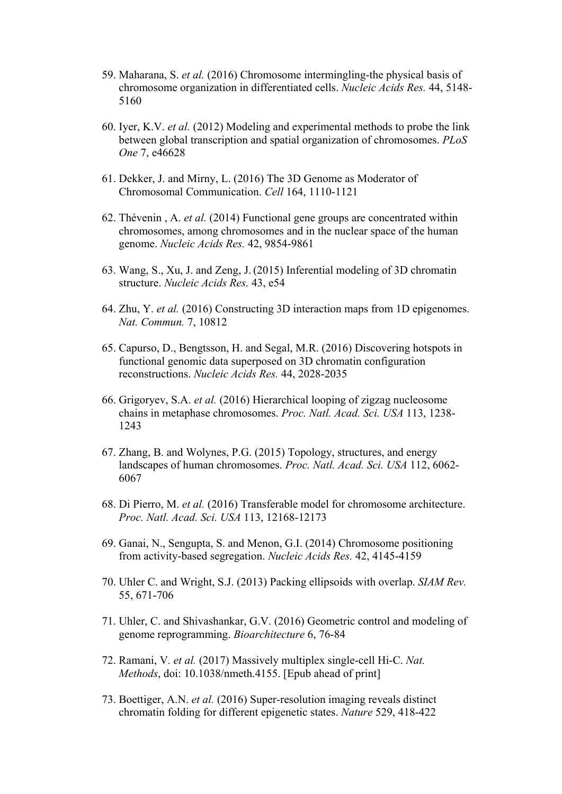- 59. Maharana, S. *et al.* (2016) Chromosome intermingling-the physical basis of chromosome organization in differentiated cells. *Nucleic Acids Res.* 44, 5148- 5160
- 60. Iyer, K.V. *et al.* (2012) Modeling and experimental methods to probe the link between global transcription and spatial organization of chromosomes. *PLoS One* 7, e46628
- 61. Dekker, J. and Mirny, L. (2016) The 3D Genome as Moderator of Chromosomal Communication. *Cell* 164, 1110-1121
- 62. Thévenin , A. *et al.* (2014) Functional gene groups are concentrated within chromosomes, among chromosomes and in the nuclear space of the human genome. *Nucleic Acids Res.* 42, 9854-9861
- 63. Wang, S., Xu, J. and Zeng, J.(2015) Inferential modeling of 3D chromatin structure. *Nucleic Acids Res.* 43, e54
- 64. Zhu, Y. *et al.* (2016) Constructing 3D interaction maps from 1D epigenomes. *Nat. Commun.* 7, 10812
- 65. Capurso, D., Bengtsson, H. and Segal, M.R. (2016) Discovering hotspots in functional genomic data superposed on 3D chromatin configuration reconstructions. *Nucleic Acids Res.* 44, 2028-2035
- 66. Grigoryev, S.A. *et al.* (2016) Hierarchical looping of zigzag nucleosome chains in metaphase chromosomes. *Proc. Natl. Acad. Sci. USA* 113, 1238- 1243
- 67. Zhang, B. and Wolynes, P.G. (2015) Topology, structures, and energy landscapes of human chromosomes. *Proc. Natl. Acad. Sci. USA* 112, 6062- 6067
- 68. Di Pierro, M. *et al.* (2016) Transferable model for chromosome architecture. *Proc. Natl. Acad. Sci. USA* 113, 12168-12173
- 69. Ganai, N., Sengupta, S. and Menon, G.I. (2014) Chromosome positioning from activity-based segregation. *Nucleic Acids Res.* 42, 4145-4159
- 70. Uhler C. and Wright, S.J. (2013) Packing ellipsoids with overlap. *SIAM Rev.* 55, 671-706
- 71. Uhler, C. and Shivashankar, G.V. (2016) Geometric control and modeling of genome reprogramming. *Bioarchitecture* 6, 76-84
- 72. Ramani, V*. et al.* (2017) Massively multiplex single-cell Hi-C. *Nat. Methods*, doi: 10.1038/nmeth.4155. [Epub ahead of print]
- 73. Boettiger, A.N. *et al.* (2016) Super-resolution imaging reveals distinct chromatin folding for different epigenetic states. *Nature* 529, 418-422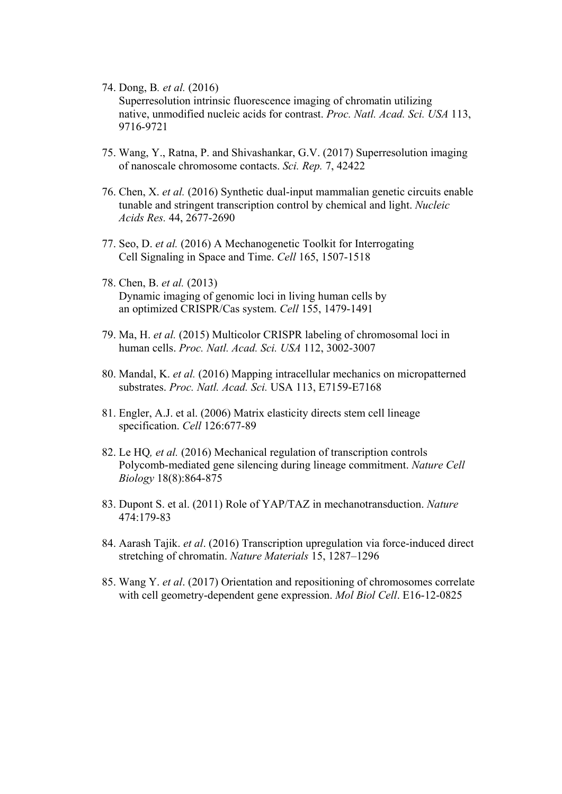74. Dong, B*. et al.* (2016)

Superresolution intrinsic fluorescence imaging of chromatin utilizing native, unmodified nucleic acids for contrast. *Proc. Natl. Acad. Sci. USA* 113, 9716-9721

- 75. Wang, Y., Ratna, P. and Shivashankar, G.V. (2017) Superresolution imaging of nanoscale chromosome contacts. *Sci. Rep.* 7, 42422
- 76. Chen, X. *et al.* (2016) Synthetic dual-input mammalian genetic circuits enable tunable and stringent transcription control by chemical and light. *Nucleic Acids Res.* 44, 2677-2690
- 77. Seo, D. *et al.* (2016) A Mechanogenetic Toolkit for Interrogating Cell Signaling in Space and Time. *Cell* 165, 1507-1518
- 78. Chen, B. *et al.* (2013) Dynamic imaging of genomic loci in living human cells by an optimized CRISPR/Cas system. *Cell* 155, 1479-1491
- 79. Ma, H. *et al.* (2015) Multicolor CRISPR labeling of chromosomal loci in human cells. *Proc. Natl. Acad. Sci. USA* 112, 3002-3007
- 80. Mandal, K. *et al.* (2016) Mapping intracellular mechanics on micropatterned substrates. *Proc. Natl. Acad. Sci.* USA 113, E7159-E7168
- 81. Engler, A.J. et al. (2006) Matrix elasticity directs stem cell lineage specification. *Cell* 126:677-89
- 82. Le HQ*, et al.* (2016) Mechanical regulation of transcription controls Polycomb-mediated gene silencing during lineage commitment. *Nature Cell Biology* 18(8):864-875
- 83. Dupont S. et al. (2011) Role of YAP/TAZ in mechanotransduction. *Nature* 474:179-83
- 84. Aarash Tajik. *et al*. (2016) Transcription upregulation via force-induced direct stretching of chromatin. *Nature Materials* 15, 1287–1296
- 85. Wang Y. *et al*. (2017) Orientation and repositioning of chromosomes correlate with cell geometry-dependent gene expression. *Mol Biol Cell*. E16-12-0825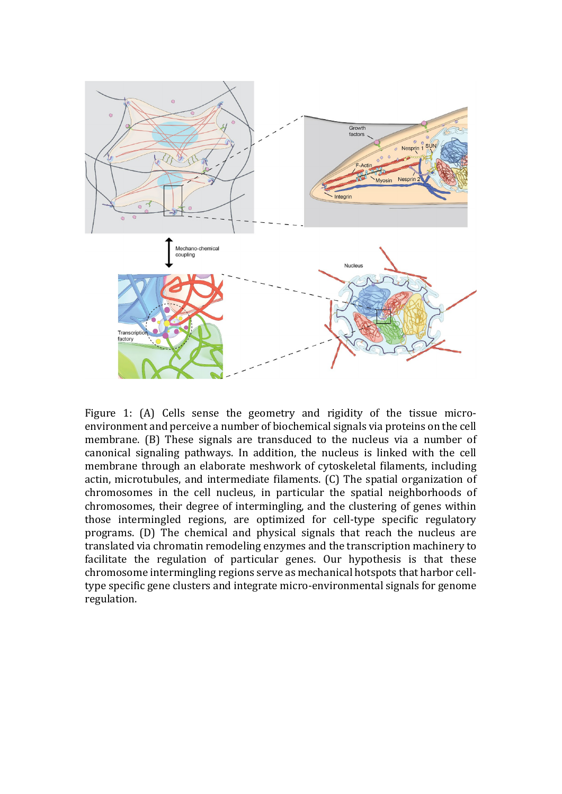

Figure 1: (A) Cells sense the geometry and rigidity of the tissue microenvironment and perceive a number of biochemical signals via proteins on the cell membrane. (B) These signals are transduced to the nucleus via a number of canonical signaling pathways. In addition, the nucleus is linked with the cell membrane through an elaborate meshwork of cytoskeletal filaments, including actin, microtubules, and intermediate filaments. (C) The spatial organization of chromosomes in the cell nucleus, in particular the spatial neighborhoods of chromosomes, their degree of intermingling, and the clustering of genes within those intermingled regions, are optimized for cell-type specific regulatory programs. (D) The chemical and physical signals that reach the nucleus are translated via chromatin remodeling enzymes and the transcription machinery to facilitate the regulation of particular genes. Our hypothesis is that these chromosome intermingling regions serve as mechanical hotspots that harbor celltype specific gene clusters and integrate micro-environmental signals for genome regulation.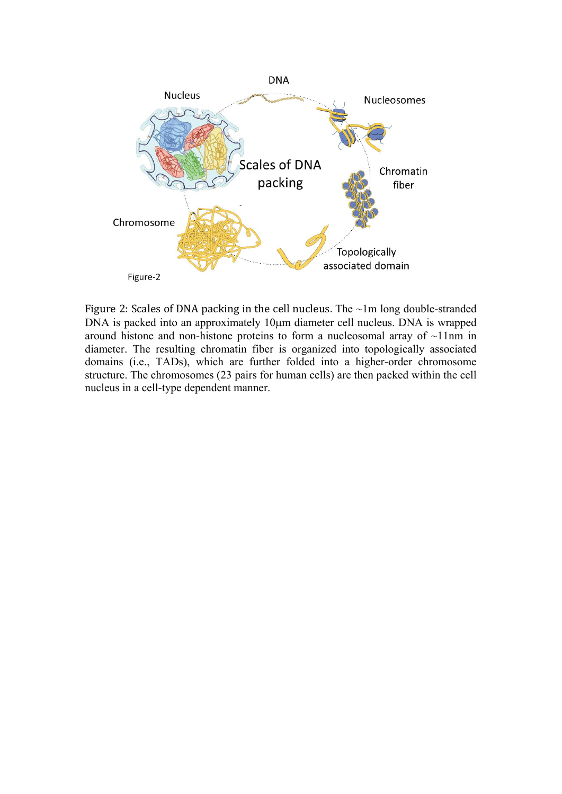

Figure 2: Scales of DNA packing in the cell nucleus. The ~1m long double-stranded DNA is packed into an approximately 10µm diameter cell nucleus. DNA is wrapped around histone and non-histone proteins to form a nucleosomal array of  $\sim$ 11nm in diameter. The resulting chromatin fiber is organized into topologically associated domains (i.e., TADs), which are further folded into a higher-order chromosome structure. The chromosomes (23 pairs for human cells) are then packed within the cell nucleus in a cell-type dependent manner.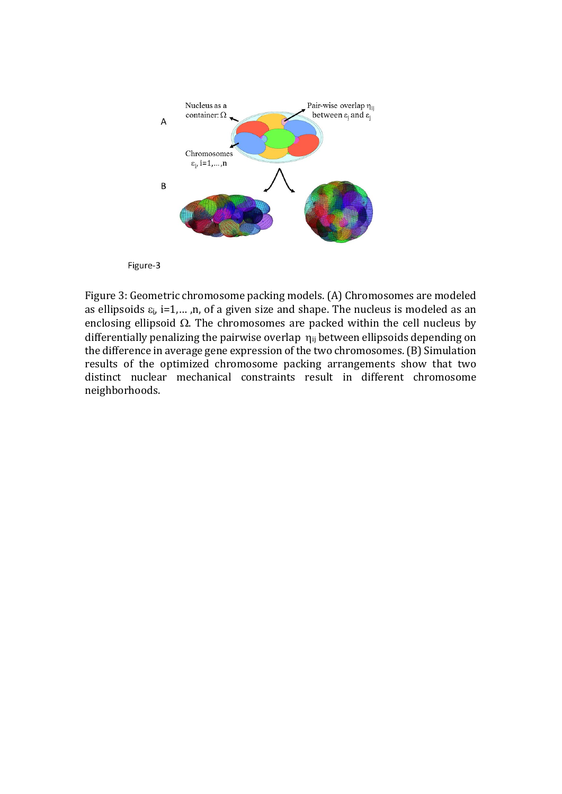



Figure 3: Geometric chromosome packing models. (A) Chromosomes are modeled as ellipsoids  $\varepsilon_{i}$ , i=1,..., n, of a given size and shape. The nucleus is modeled as an enclosing ellipsoid  $\Omega$ . The chromosomes are packed within the cell nucleus by differentially penalizing the pairwise overlap  $\eta_{ij}$  between ellipsoids depending on the difference in average gene expression of the two chromosomes. (B) Simulation results of the optimized chromosome packing arrangements show that two distinct nuclear mechanical constraints result in different chromosome neighborhoods.